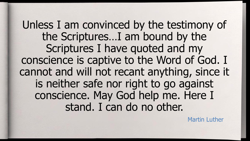Unless I am convinced by the testimony of the Scriptures…I am bound by the Scriptures I have quoted and my conscience is captive to the Word of God. I cannot and will not recant anything, since it is neither safe nor right to go against conscience. May God help me. Here I stand. I can do no other.

Martin Luther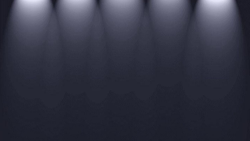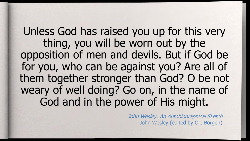Unless God has raised you up for this very thing, you will be worn out by the opposition of men and devils. But if God be for you, who can be against you? Are all of them together stronger than God? O be not weary of well doing? Go on, in the name of God and in the power of His might.

> John Wesley: An Autobiographical Sketch John Wesley (edited by Ole Borgen)

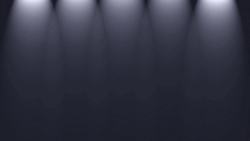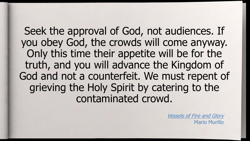Seek the approval of God, not audiences. If you obey God, the crowds will come anyway. Only this time their appetite will be for the truth, and you will advance the Kingdom of God and not a counterfeit. We must repent of grieving the Holy Spirit by catering to the contaminated crowd.

> **Vessels of Fire and Glory** Mario Murillo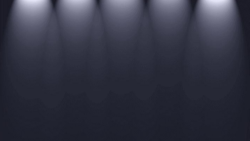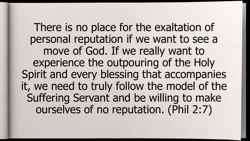There is no place for the exaltation of personal reputation if we want to see a move of God. If we really want to experience the outpouring of the Holy Spirit and every blessing that accompanies it, we need to truly follow the model of the Suffering Servant and be willing to make ourselves of no reputation. (Phil 2:7)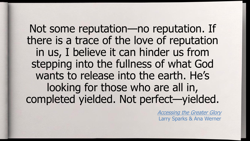Not some reputation—no reputation. If there is a trace of the love of reputation in us, I believe it can hinder us from stepping into the fullness of what God wants to release into the earth. He's looking for those who are all in, completed yielded. Not perfect—yielded.

> Accessing the Greater Glory Larry Sparks & Ana Werner